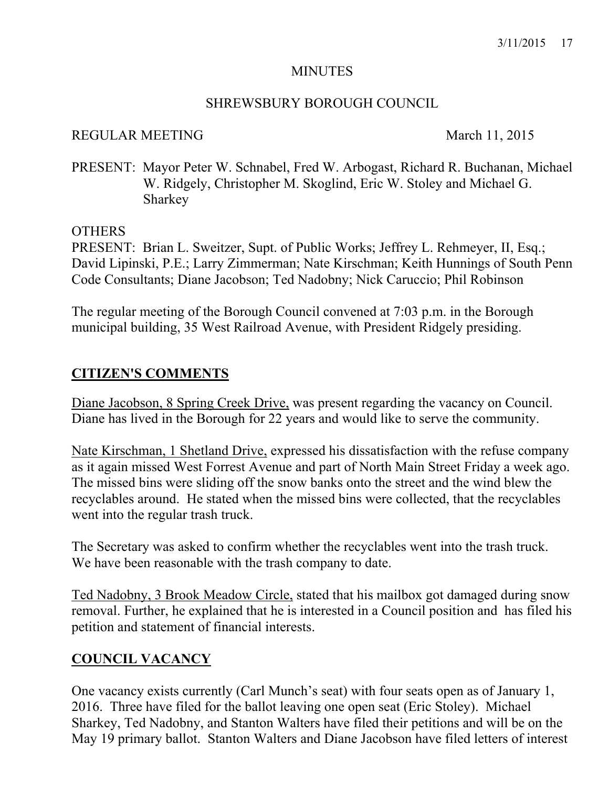#### **MINUTES**

### SHREWSBURY BOROUGH COUNCIL

### REGULAR MEETING March 11, 2015

PRESENT: Mayor Peter W. Schnabel, Fred W. Arbogast, Richard R. Buchanan, Michael W. Ridgely, Christopher M. Skoglind, Eric W. Stoley and Michael G. Sharkey

#### OTHERS

PRESENT: Brian L. Sweitzer, Supt. of Public Works; Jeffrey L. Rehmeyer, II, Esq.; David Lipinski, P.E.; Larry Zimmerman; Nate Kirschman; Keith Hunnings of South Penn Code Consultants; Diane Jacobson; Ted Nadobny; Nick Caruccio; Phil Robinson

The regular meeting of the Borough Council convened at 7:03 p.m. in the Borough municipal building, 35 West Railroad Avenue, with President Ridgely presiding.

## **CITIZEN'S COMMENTS**

Diane Jacobson, 8 Spring Creek Drive, was present regarding the vacancy on Council. Diane has lived in the Borough for 22 years and would like to serve the community.

Nate Kirschman, 1 Shetland Drive, expressed his dissatisfaction with the refuse company as it again missed West Forrest Avenue and part of North Main Street Friday a week ago. The missed bins were sliding off the snow banks onto the street and the wind blew the recyclables around. He stated when the missed bins were collected, that the recyclables went into the regular trash truck.

The Secretary was asked to confirm whether the recyclables went into the trash truck. We have been reasonable with the trash company to date.

Ted Nadobny, 3 Brook Meadow Circle, stated that his mailbox got damaged during snow removal. Further, he explained that he is interested in a Council position and has filed his petition and statement of financial interests.

### **COUNCIL VACANCY**

One vacancy exists currently (Carl Munch's seat) with four seats open as of January 1, 2016. Three have filed for the ballot leaving one open seat (Eric Stoley). Michael Sharkey, Ted Nadobny, and Stanton Walters have filed their petitions and will be on the May 19 primary ballot. Stanton Walters and Diane Jacobson have filed letters of interest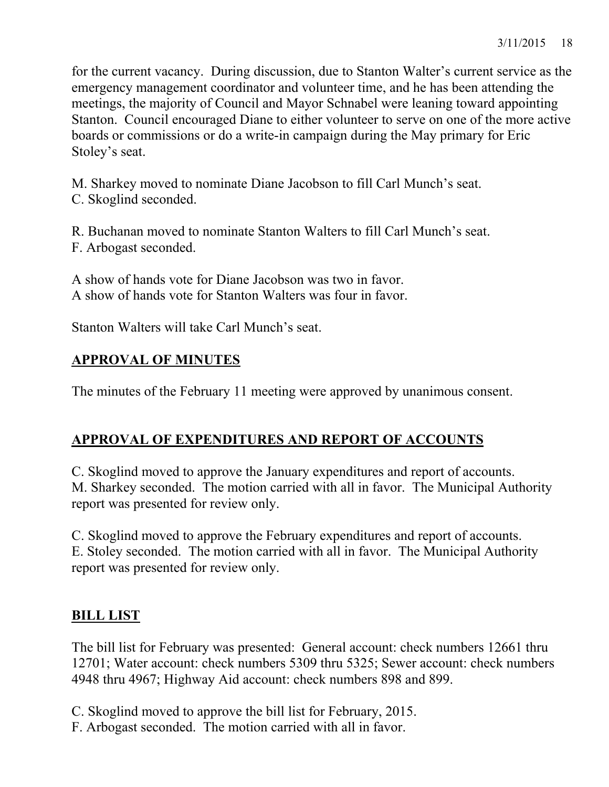for the current vacancy. During discussion, due to Stanton Walter's current service as the emergency management coordinator and volunteer time, and he has been attending the meetings, the majority of Council and Mayor Schnabel were leaning toward appointing Stanton. Council encouraged Diane to either volunteer to serve on one of the more active boards or commissions or do a write-in campaign during the May primary for Eric Stoley's seat.

M. Sharkey moved to nominate Diane Jacobson to fill Carl Munch's seat. C. Skoglind seconded.

R. Buchanan moved to nominate Stanton Walters to fill Carl Munch's seat. F. Arbogast seconded.

A show of hands vote for Diane Jacobson was two in favor. A show of hands vote for Stanton Walters was four in favor.

Stanton Walters will take Carl Munch's seat.

# **APPROVAL OF MINUTES**

The minutes of the February 11 meeting were approved by unanimous consent.

# **APPROVAL OF EXPENDITURES AND REPORT OF ACCOUNTS**

C. Skoglind moved to approve the January expenditures and report of accounts. M. Sharkey seconded. The motion carried with all in favor. The Municipal Authority report was presented for review only.

C. Skoglind moved to approve the February expenditures and report of accounts. E. Stoley seconded. The motion carried with all in favor. The Municipal Authority report was presented for review only.

# **BILL LIST**

The bill list for February was presented: General account: check numbers 12661 thru 12701; Water account: check numbers 5309 thru 5325; Sewer account: check numbers 4948 thru 4967; Highway Aid account: check numbers 898 and 899.

- C. Skoglind moved to approve the bill list for February, 2015.
- F. Arbogast seconded. The motion carried with all in favor.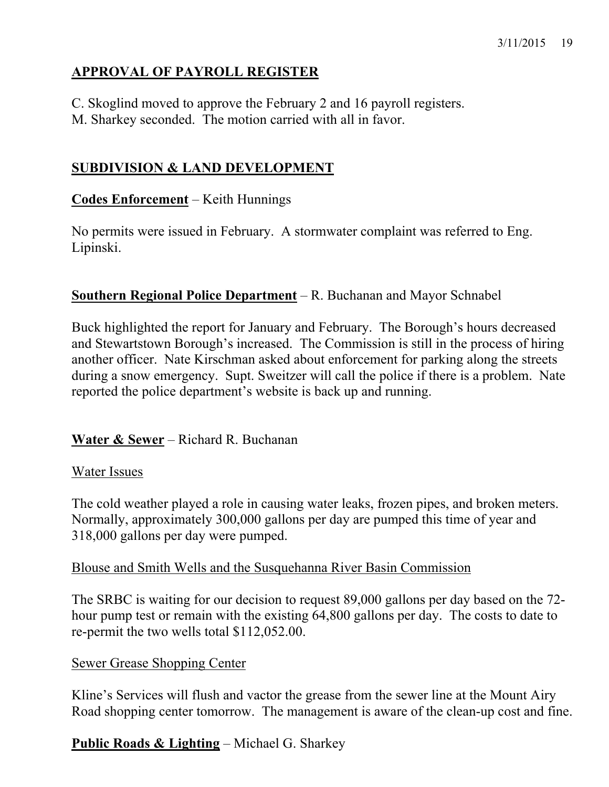# **APPROVAL OF PAYROLL REGISTER**

C. Skoglind moved to approve the February 2 and 16 payroll registers.

M. Sharkey seconded. The motion carried with all in favor.

# **SUBDIVISION & LAND DEVELOPMENT**

# **Codes Enforcement** – Keith Hunnings

No permits were issued in February. A stormwater complaint was referred to Eng. Lipinski.

# **Southern Regional Police Department** – R. Buchanan and Mayor Schnabel

Buck highlighted the report for January and February. The Borough's hours decreased and Stewartstown Borough's increased. The Commission is still in the process of hiring another officer. Nate Kirschman asked about enforcement for parking along the streets during a snow emergency. Supt. Sweitzer will call the police if there is a problem. Nate reported the police department's website is back up and running.

# **Water & Sewer** – Richard R. Buchanan

# Water Issues

The cold weather played a role in causing water leaks, frozen pipes, and broken meters. Normally, approximately 300,000 gallons per day are pumped this time of year and 318,000 gallons per day were pumped.

### Blouse and Smith Wells and the Susquehanna River Basin Commission

The SRBC is waiting for our decision to request 89,000 gallons per day based on the 72 hour pump test or remain with the existing 64,800 gallons per day. The costs to date to re-permit the two wells total \$112,052.00.

### Sewer Grease Shopping Center

Kline's Services will flush and vactor the grease from the sewer line at the Mount Airy Road shopping center tomorrow. The management is aware of the clean-up cost and fine.

# **Public Roads & Lighting** – Michael G. Sharkey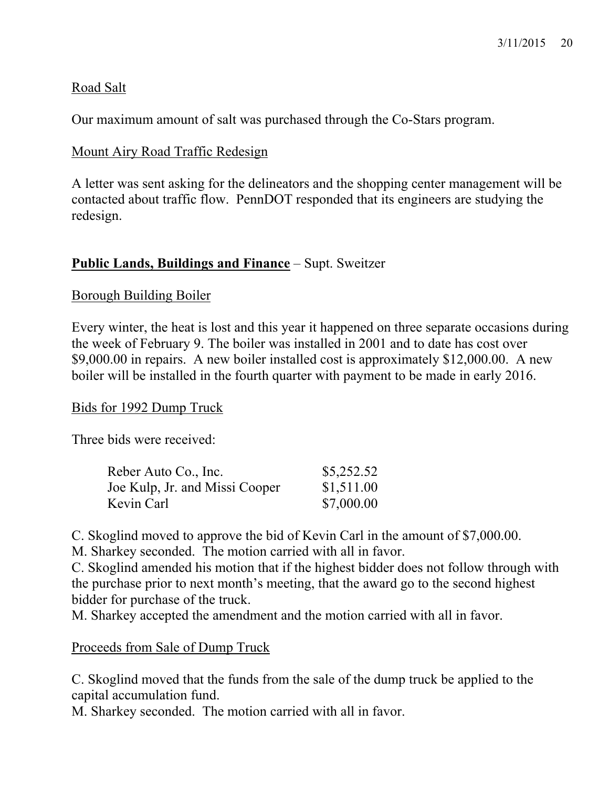## Road Salt

Our maximum amount of salt was purchased through the Co-Stars program.

## Mount Airy Road Traffic Redesign

A letter was sent asking for the delineators and the shopping center management will be contacted about traffic flow. PennDOT responded that its engineers are studying the redesign.

## **Public Lands, Buildings and Finance** – Supt. Sweitzer

### Borough Building Boiler

Every winter, the heat is lost and this year it happened on three separate occasions during the week of February 9. The boiler was installed in 2001 and to date has cost over \$9,000.00 in repairs. A new boiler installed cost is approximately \$12,000.00. A new boiler will be installed in the fourth quarter with payment to be made in early 2016.

### Bids for 1992 Dump Truck

Three bids were received:

| Reber Auto Co., Inc.           | \$5,252.52 |
|--------------------------------|------------|
| Joe Kulp, Jr. and Missi Cooper | \$1,511.00 |
| Kevin Carl                     | \$7,000.00 |

C. Skoglind moved to approve the bid of Kevin Carl in the amount of \$7,000.00.

M. Sharkey seconded. The motion carried with all in favor.

C. Skoglind amended his motion that if the highest bidder does not follow through with the purchase prior to next month's meeting, that the award go to the second highest bidder for purchase of the truck.

M. Sharkey accepted the amendment and the motion carried with all in favor.

### Proceeds from Sale of Dump Truck

C. Skoglind moved that the funds from the sale of the dump truck be applied to the capital accumulation fund.

M. Sharkey seconded. The motion carried with all in favor.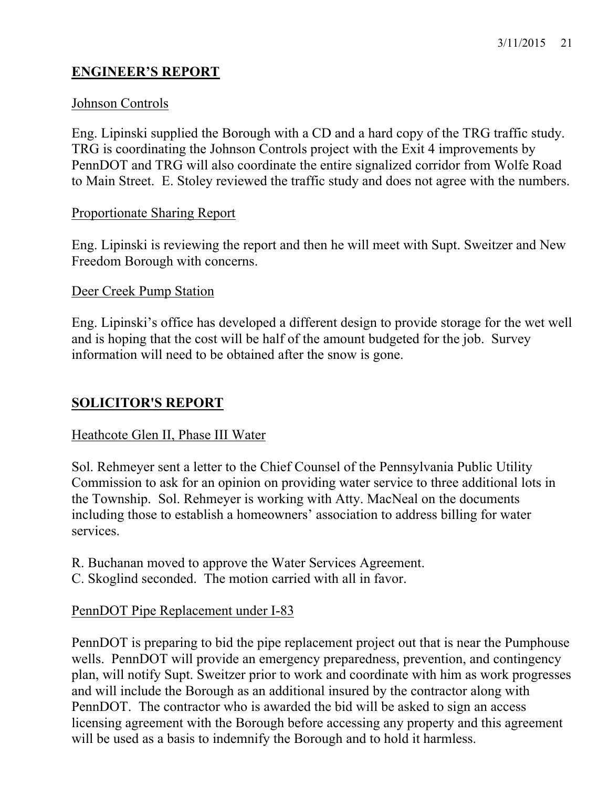# **ENGINEER'S REPORT**

### Johnson Controls

Eng. Lipinski supplied the Borough with a CD and a hard copy of the TRG traffic study. TRG is coordinating the Johnson Controls project with the Exit 4 improvements by PennDOT and TRG will also coordinate the entire signalized corridor from Wolfe Road to Main Street. E. Stoley reviewed the traffic study and does not agree with the numbers.

#### Proportionate Sharing Report

Eng. Lipinski is reviewing the report and then he will meet with Supt. Sweitzer and New Freedom Borough with concerns.

#### Deer Creek Pump Station

Eng. Lipinski's office has developed a different design to provide storage for the wet well and is hoping that the cost will be half of the amount budgeted for the job. Survey information will need to be obtained after the snow is gone.

### **SOLICITOR'S REPORT**

#### Heathcote Glen II, Phase III Water

Sol. Rehmeyer sent a letter to the Chief Counsel of the Pennsylvania Public Utility Commission to ask for an opinion on providing water service to three additional lots in the Township. Sol. Rehmeyer is working with Atty. MacNeal on the documents including those to establish a homeowners' association to address billing for water services.

R. Buchanan moved to approve the Water Services Agreement.

C. Skoglind seconded. The motion carried with all in favor.

### PennDOT Pipe Replacement under I-83

PennDOT is preparing to bid the pipe replacement project out that is near the Pumphouse wells. PennDOT will provide an emergency preparedness, prevention, and contingency plan, will notify Supt. Sweitzer prior to work and coordinate with him as work progresses and will include the Borough as an additional insured by the contractor along with PennDOT. The contractor who is awarded the bid will be asked to sign an access licensing agreement with the Borough before accessing any property and this agreement will be used as a basis to indemnify the Borough and to hold it harmless.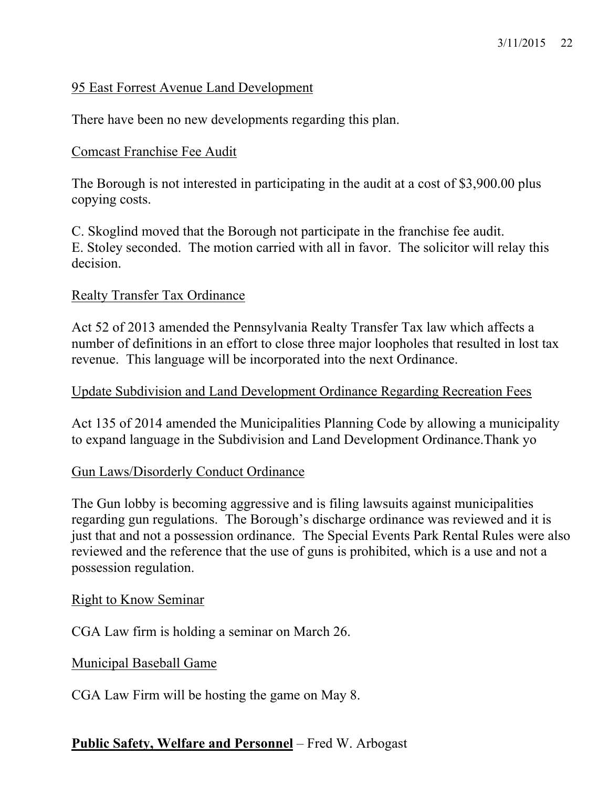## 95 East Forrest Avenue Land Development

There have been no new developments regarding this plan.

### Comcast Franchise Fee Audit

The Borough is not interested in participating in the audit at a cost of \$3,900.00 plus copying costs.

C. Skoglind moved that the Borough not participate in the franchise fee audit. E. Stoley seconded. The motion carried with all in favor. The solicitor will relay this decision.

### Realty Transfer Tax Ordinance

Act 52 of 2013 amended the Pennsylvania Realty Transfer Tax law which affects a number of definitions in an effort to close three major loopholes that resulted in lost tax revenue. This language will be incorporated into the next Ordinance.

#### Update Subdivision and Land Development Ordinance Regarding Recreation Fees

Act 135 of 2014 amended the Municipalities Planning Code by allowing a municipality to expand language in the Subdivision and Land Development Ordinance.Thank yo

### Gun Laws/Disorderly Conduct Ordinance

The Gun lobby is becoming aggressive and is filing lawsuits against municipalities regarding gun regulations. The Borough's discharge ordinance was reviewed and it is just that and not a possession ordinance. The Special Events Park Rental Rules were also reviewed and the reference that the use of guns is prohibited, which is a use and not a possession regulation.

#### Right to Know Seminar

CGA Law firm is holding a seminar on March 26.

### Municipal Baseball Game

CGA Law Firm will be hosting the game on May 8.

### **Public Safety, Welfare and Personnel** – Fred W. Arbogast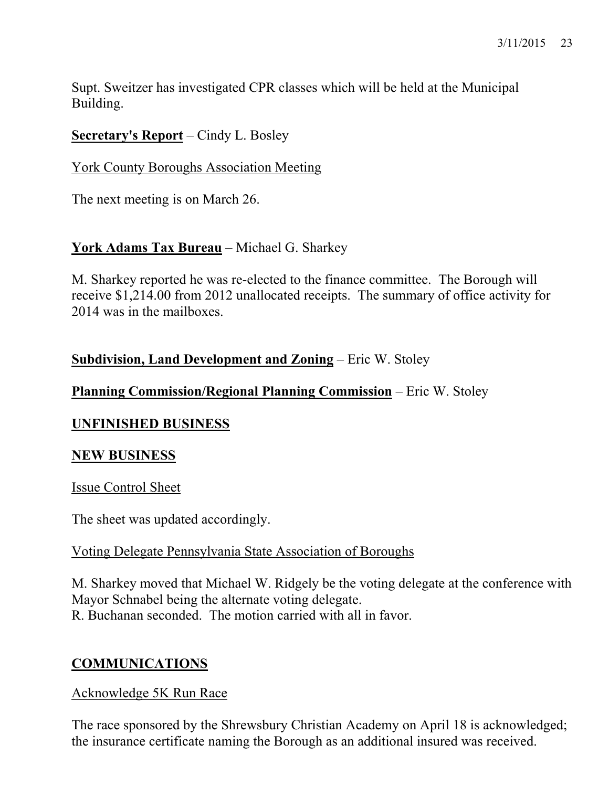Supt. Sweitzer has investigated CPR classes which will be held at the Municipal Building.

# **Secretary's Report** – Cindy L. Bosley

## York County Boroughs Association Meeting

The next meeting is on March 26.

# **York Adams Tax Bureau** – Michael G. Sharkey

M. Sharkey reported he was re-elected to the finance committee. The Borough will receive \$1,214.00 from 2012 unallocated receipts. The summary of office activity for 2014 was in the mailboxes.

# **Subdivision, Land Development and Zoning** – Eric W. Stoley

# **Planning Commission/Regional Planning Commission** – Eric W. Stoley

# **UNFINISHED BUSINESS**

# **NEW BUSINESS**

Issue Control Sheet

The sheet was updated accordingly.

# Voting Delegate Pennsylvania State Association of Boroughs

M. Sharkey moved that Michael W. Ridgely be the voting delegate at the conference with Mayor Schnabel being the alternate voting delegate. R. Buchanan seconded. The motion carried with all in favor.

# **COMMUNICATIONS**

# Acknowledge 5K Run Race

The race sponsored by the Shrewsbury Christian Academy on April 18 is acknowledged; the insurance certificate naming the Borough as an additional insured was received.